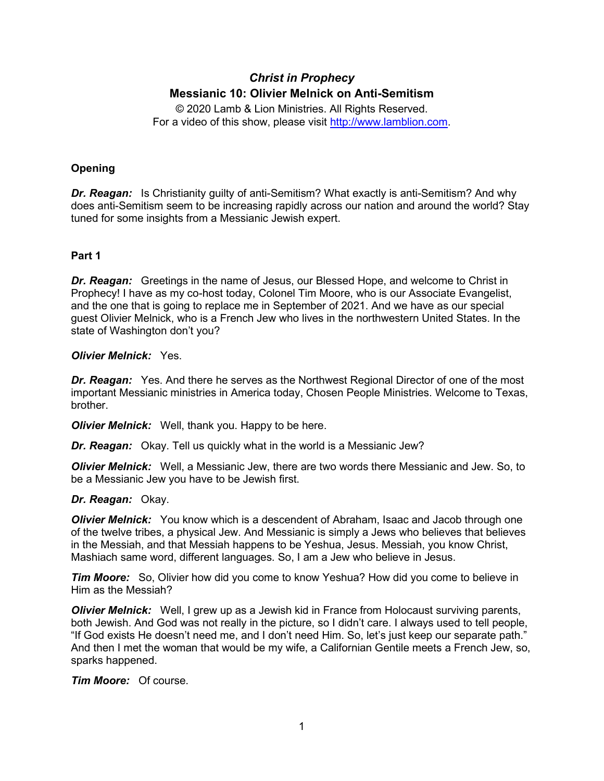# *Christ in Prophecy* **Messianic 10: Olivier Melnick on Anti-Semitism**

© 2020 Lamb & Lion Ministries. All Rights Reserved. For a video of this show, please visit [http://www.lamblion.com.](http://www.lamblion.com/)

# **Opening**

*Dr. Reagan:* Is Christianity guilty of anti-Semitism? What exactly is anti-Semitism? And why does anti-Semitism seem to be increasing rapidly across our nation and around the world? Stay tuned for some insights from a Messianic Jewish expert.

# **Part 1**

*Dr. Reagan:* Greetings in the name of Jesus, our Blessed Hope, and welcome to Christ in Prophecy! I have as my co-host today, Colonel Tim Moore, who is our Associate Evangelist, and the one that is going to replace me in September of 2021. And we have as our special guest Olivier Melnick, who is a French Jew who lives in the northwestern United States. In the state of Washington don't you?

## *Olivier Melnick:* Yes.

*Dr. Reagan:* Yes. And there he serves as the Northwest Regional Director of one of the most important Messianic ministries in America today, Chosen People Ministries. Welcome to Texas, brother.

*Olivier Melnick:* Well, thank you. Happy to be here.

*Dr. Reagan:* Okay. Tell us quickly what in the world is a Messianic Jew?

*Olivier Melnick:* Well, a Messianic Jew, there are two words there Messianic and Jew. So, to be a Messianic Jew you have to be Jewish first.

# *Dr. Reagan:* Okay.

*Olivier Melnick:* You know which is a descendent of Abraham, Isaac and Jacob through one of the twelve tribes, a physical Jew. And Messianic is simply a Jews who believes that believes in the Messiah, and that Messiah happens to be Yeshua, Jesus. Messiah, you know Christ, Mashiach same word, different languages. So, I am a Jew who believe in Jesus.

*Tim Moore:* So, Olivier how did you come to know Yeshua? How did you come to believe in Him as the Messiah?

*Olivier Melnick:* Well, I grew up as a Jewish kid in France from Holocaust surviving parents, both Jewish. And God was not really in the picture, so I didn't care. I always used to tell people, "If God exists He doesn't need me, and I don't need Him. So, let's just keep our separate path." And then I met the woman that would be my wife, a Californian Gentile meets a French Jew, so, sparks happened.

*Tim Moore:* Of course.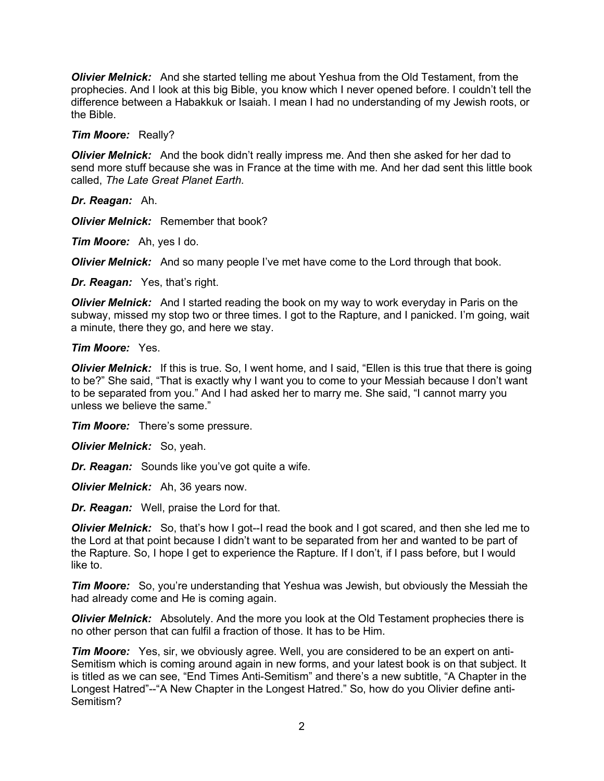*Olivier Melnick:* And she started telling me about Yeshua from the Old Testament, from the prophecies. And I look at this big Bible, you know which I never opened before. I couldn't tell the difference between a Habakkuk or Isaiah. I mean I had no understanding of my Jewish roots, or the Bible.

*Tim Moore:* Really?

*Olivier Melnick:* And the book didn't really impress me. And then she asked for her dad to send more stuff because she was in France at the time with me. And her dad sent this little book called, *The Late Great Planet Earth*.

*Dr. Reagan:* Ah.

*Olivier Melnick:* Remember that book?

*Tim Moore:* Ah, yes I do.

*Olivier Melnick:* And so many people I've met have come to the Lord through that book.

*Dr. Reagan:* Yes, that's right.

*Olivier Melnick:* And I started reading the book on my way to work everyday in Paris on the subway, missed my stop two or three times. I got to the Rapture, and I panicked. I'm going, wait a minute, there they go, and here we stay.

### *Tim Moore:* Yes.

*Olivier Melnick:* If this is true. So, I went home, and I said, "Ellen is this true that there is going to be?" She said, "That is exactly why I want you to come to your Messiah because I don't want to be separated from you." And I had asked her to marry me. She said, "I cannot marry you unless we believe the same."

*Tim Moore:* There's some pressure.

*Olivier Melnick:* So, yeah.

*Dr. Reagan:* Sounds like you've got quite a wife.

*Olivier Melnick:* Ah, 36 years now.

*Dr. Reagan:* Well, praise the Lord for that.

*Olivier Melnick:* So, that's how I got--I read the book and I got scared, and then she led me to the Lord at that point because I didn't want to be separated from her and wanted to be part of the Rapture. So, I hope I get to experience the Rapture. If I don't, if I pass before, but I would like to.

*Tim Moore:* So, you're understanding that Yeshua was Jewish, but obviously the Messiah the had already come and He is coming again.

*Olivier Melnick:* Absolutely. And the more you look at the Old Testament prophecies there is no other person that can fulfil a fraction of those. It has to be Him.

*Tim Moore:* Yes, sir, we obviously agree. Well, you are considered to be an expert on anti-Semitism which is coming around again in new forms, and your latest book is on that subject. It is titled as we can see, "End Times Anti-Semitism" and there's a new subtitle, "A Chapter in the Longest Hatred"--"A New Chapter in the Longest Hatred." So, how do you Olivier define anti-Semitism?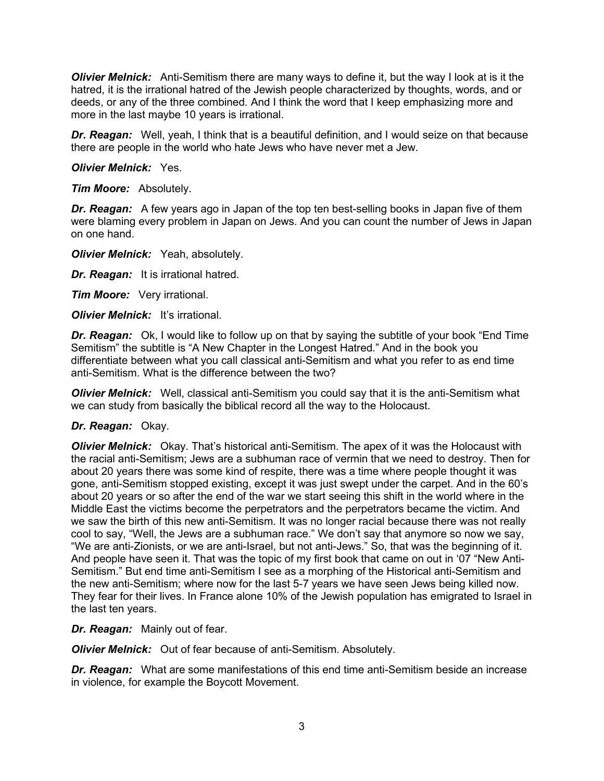*Olivier Melnick:* Anti-Semitism there are many ways to define it, but the way I look at is it the hatred, it is the irrational hatred of the Jewish people characterized by thoughts, words, and or deeds, or any of the three combined. And I think the word that I keep emphasizing more and more in the last maybe 10 years is irrational.

*Dr. Reagan:* Well, yeah, I think that is a beautiful definition, and I would seize on that because there are people in the world who hate Jews who have never met a Jew.

*Olivier Melnick:* Yes.

*Tim Moore:* Absolutely.

*Dr. Reagan:* A few years ago in Japan of the top ten best-selling books in Japan five of them were blaming every problem in Japan on Jews. And you can count the number of Jews in Japan on one hand.

*Olivier Melnick:* Yeah, absolutely.

*Dr. Reagan:* It is irrational hatred.

*Tim Moore:* Very irrational.

*Olivier Melnick:* It's irrational.

**Dr. Reagan:** Ok, I would like to follow up on that by saying the subtitle of your book "End Time Semitism" the subtitle is "A New Chapter in the Longest Hatred." And in the book you differentiate between what you call classical anti-Semitism and what you refer to as end time anti-Semitism. What is the difference between the two?

*Olivier Melnick:* Well, classical anti-Semitism you could say that it is the anti-Semitism what we can study from basically the biblical record all the way to the Holocaust.

#### *Dr. Reagan:* Okay.

*Olivier Melnick:* Okay. That's historical anti-Semitism. The apex of it was the Holocaust with the racial anti-Semitism; Jews are a subhuman race of vermin that we need to destroy. Then for about 20 years there was some kind of respite, there was a time where people thought it was gone, anti-Semitism stopped existing, except it was just swept under the carpet. And in the 60's about 20 years or so after the end of the war we start seeing this shift in the world where in the Middle East the victims become the perpetrators and the perpetrators became the victim. And we saw the birth of this new anti-Semitism. It was no longer racial because there was not really cool to say, "Well, the Jews are a subhuman race." We don't say that anymore so now we say, "We are anti-Zionists, or we are anti-Israel, but not anti-Jews." So, that was the beginning of it. And people have seen it. That was the topic of my first book that came on out in '07 "New Anti-Semitism." But end time anti-Semitism I see as a morphing of the Historical anti-Semitism and the new anti-Semitism; where now for the last 5-7 years we have seen Jews being killed now. They fear for their lives. In France alone 10% of the Jewish population has emigrated to Israel in the last ten years.

*Dr. Reagan:* Mainly out of fear.

*Olivier Melnick:* Out of fear because of anti-Semitism. Absolutely.

*Dr. Reagan:* What are some manifestations of this end time anti-Semitism beside an increase in violence, for example the Boycott Movement.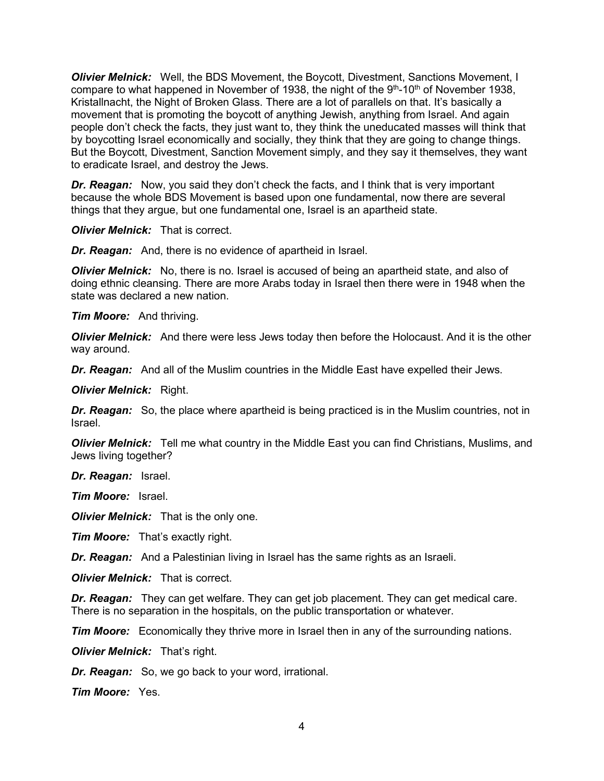*Olivier Melnick:* Well, the BDS Movement, the Boycott, Divestment, Sanctions Movement, I compare to what happened in November of 1938, the night of the  $9<sup>th</sup>$ -10<sup>th</sup> of November 1938, Kristallnacht, the Night of Broken Glass. There are a lot of parallels on that. It's basically a movement that is promoting the boycott of anything Jewish, anything from Israel. And again people don't check the facts, they just want to, they think the uneducated masses will think that by boycotting Israel economically and socially, they think that they are going to change things. But the Boycott, Divestment, Sanction Movement simply, and they say it themselves, they want to eradicate Israel, and destroy the Jews.

*Dr. Reagan:* Now, you said they don't check the facts, and I think that is very important because the whole BDS Movement is based upon one fundamental, now there are several things that they argue, but one fundamental one, Israel is an apartheid state.

*Olivier Melnick:* That is correct.

*Dr. Reagan:* And, there is no evidence of apartheid in Israel.

**Olivier Melnick:** No, there is no. Israel is accused of being an apartheid state, and also of doing ethnic cleansing. There are more Arabs today in Israel then there were in 1948 when the state was declared a new nation.

*Tim Moore:* And thriving.

*Olivier Melnick:* And there were less Jews today then before the Holocaust. And it is the other way around.

*Dr. Reagan:* And all of the Muslim countries in the Middle East have expelled their Jews.

*Olivier Melnick:* Right.

*Dr. Reagan:* So, the place where apartheid is being practiced is in the Muslim countries, not in Israel.

*Olivier Melnick:* Tell me what country in the Middle East you can find Christians, Muslims, and Jews living together?

*Dr. Reagan:* Israel.

*Tim Moore:* Israel.

*Olivier Melnick:* That is the only one.

*Tim Moore:* That's exactly right.

*Dr. Reagan:* And a Palestinian living in Israel has the same rights as an Israeli.

*Olivier Melnick:* That is correct.

*Dr. Reagan:* They can get welfare. They can get job placement. They can get medical care. There is no separation in the hospitals, on the public transportation or whatever.

*Tim Moore:* Economically they thrive more in Israel then in any of the surrounding nations.

*Olivier Melnick:* That's right.

*Dr. Reagan:* So, we go back to your word, irrational.

*Tim Moore:* Yes.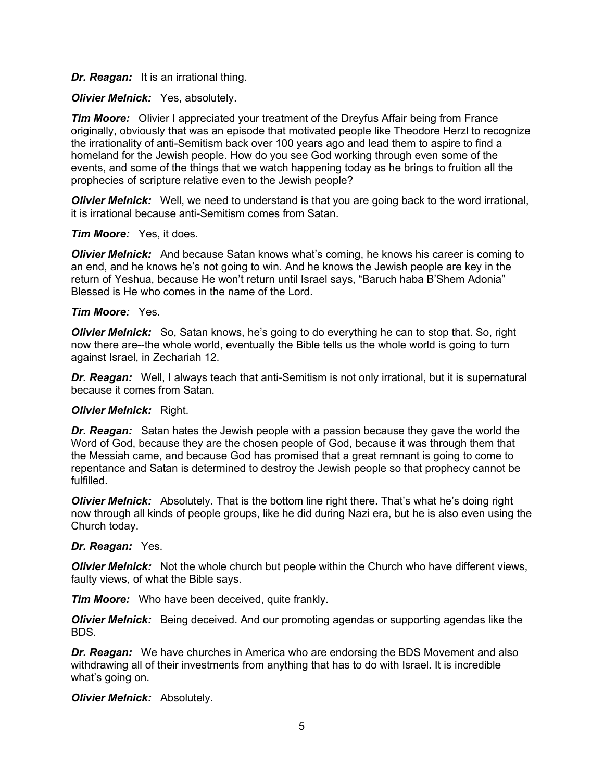### *Dr. Reagan:* It is an irrational thing.

## *Olivier Melnick:* Yes, absolutely.

*Tim Moore:* Olivier I appreciated your treatment of the Dreyfus Affair being from France originally, obviously that was an episode that motivated people like Theodore Herzl to recognize the irrationality of anti-Semitism back over 100 years ago and lead them to aspire to find a homeland for the Jewish people. How do you see God working through even some of the events, and some of the things that we watch happening today as he brings to fruition all the prophecies of scripture relative even to the Jewish people?

*Olivier Melnick:* Well, we need to understand is that you are going back to the word irrational, it is irrational because anti-Semitism comes from Satan.

#### *Tim Moore:* Yes, it does.

*Olivier Melnick:* And because Satan knows what's coming, he knows his career is coming to an end, and he knows he's not going to win. And he knows the Jewish people are key in the return of Yeshua, because He won't return until Israel says, "Baruch haba B'Shem Adonia" Blessed is He who comes in the name of the Lord.

## *Tim Moore:* Yes.

*Olivier Melnick:* So, Satan knows, he's going to do everything he can to stop that. So, right now there are--the whole world, eventually the Bible tells us the whole world is going to turn against Israel, in Zechariah 12.

*Dr. Reagan:* Well, I always teach that anti-Semitism is not only irrational, but it is supernatural because it comes from Satan.

#### *Olivier Melnick:* Right.

*Dr. Reagan:* Satan hates the Jewish people with a passion because they gave the world the Word of God, because they are the chosen people of God, because it was through them that the Messiah came, and because God has promised that a great remnant is going to come to repentance and Satan is determined to destroy the Jewish people so that prophecy cannot be fulfilled.

*Olivier Melnick:* Absolutely. That is the bottom line right there. That's what he's doing right now through all kinds of people groups, like he did during Nazi era, but he is also even using the Church today.

#### *Dr. Reagan:* Yes.

*Olivier Melnick:* Not the whole church but people within the Church who have different views, faulty views, of what the Bible says.

*Tim Moore:* Who have been deceived, quite frankly.

*Olivier Melnick:* Being deceived. And our promoting agendas or supporting agendas like the BDS.

*Dr. Reagan:* We have churches in America who are endorsing the BDS Movement and also withdrawing all of their investments from anything that has to do with Israel. It is incredible what's going on.

#### *Olivier Melnick:* Absolutely.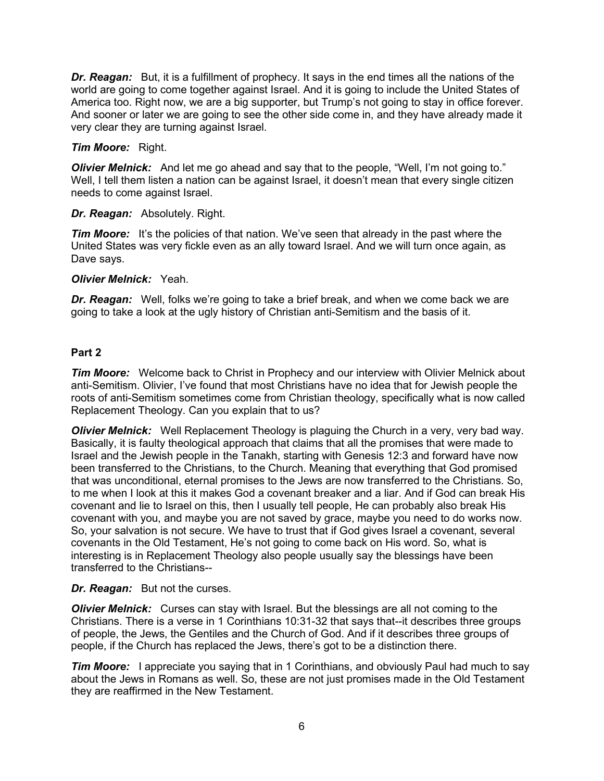*Dr. Reagan:* But, it is a fulfillment of prophecy. It says in the end times all the nations of the world are going to come together against Israel. And it is going to include the United States of America too. Right now, we are a big supporter, but Trump's not going to stay in office forever. And sooner or later we are going to see the other side come in, and they have already made it very clear they are turning against Israel.

# *Tim Moore:* Right.

*Olivier Melnick:* And let me go ahead and say that to the people, "Well, I'm not going to." Well, I tell them listen a nation can be against Israel, it doesn't mean that every single citizen needs to come against Israel.

## *Dr. Reagan:* Absolutely. Right.

*Tim Moore:* It's the policies of that nation. We've seen that already in the past where the United States was very fickle even as an ally toward Israel. And we will turn once again, as Dave says.

## *Olivier Melnick:* Yeah.

*Dr. Reagan:* Well, folks we're going to take a brief break, and when we come back we are going to take a look at the ugly history of Christian anti-Semitism and the basis of it.

## **Part 2**

*Tim Moore:* Welcome back to Christ in Prophecy and our interview with Olivier Melnick about anti-Semitism. Olivier, I've found that most Christians have no idea that for Jewish people the roots of anti-Semitism sometimes come from Christian theology, specifically what is now called Replacement Theology. Can you explain that to us?

*Olivier Melnick:* Well Replacement Theology is plaguing the Church in a very, very bad way. Basically, it is faulty theological approach that claims that all the promises that were made to Israel and the Jewish people in the Tanakh, starting with Genesis 12:3 and forward have now been transferred to the Christians, to the Church. Meaning that everything that God promised that was unconditional, eternal promises to the Jews are now transferred to the Christians. So, to me when I look at this it makes God a covenant breaker and a liar. And if God can break His covenant and lie to Israel on this, then I usually tell people, He can probably also break His covenant with you, and maybe you are not saved by grace, maybe you need to do works now. So, your salvation is not secure. We have to trust that if God gives Israel a covenant, several covenants in the Old Testament, He's not going to come back on His word. So, what is interesting is in Replacement Theology also people usually say the blessings have been transferred to the Christians--

#### *Dr. Reagan:* But not the curses.

*Olivier Melnick:* Curses can stay with Israel. But the blessings are all not coming to the Christians. There is a verse in 1 Corinthians 10:31-32 that says that--it describes three groups of people, the Jews, the Gentiles and the Church of God. And if it describes three groups of people, if the Church has replaced the Jews, there's got to be a distinction there.

*Tim Moore:* I appreciate you saying that in 1 Corinthians, and obviously Paul had much to say about the Jews in Romans as well. So, these are not just promises made in the Old Testament they are reaffirmed in the New Testament.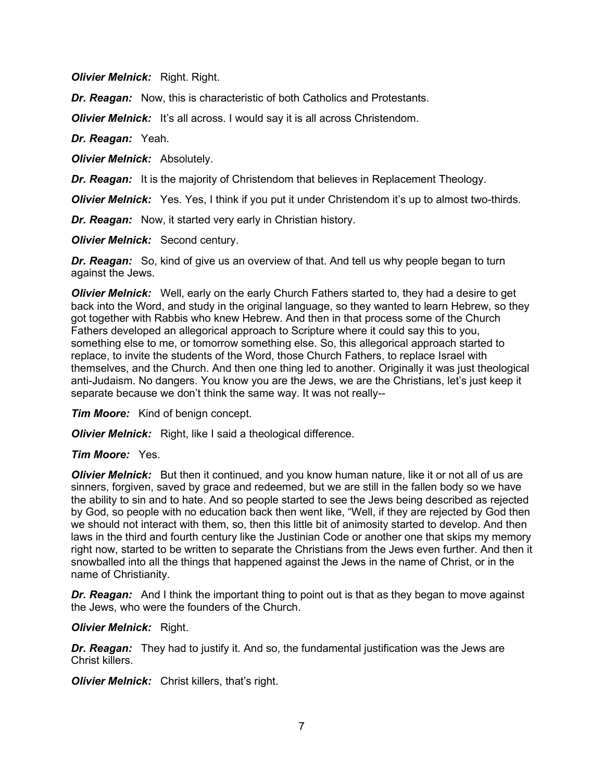*Olivier Melnick:* Right. Right.

*Dr. Reagan:* Now, this is characteristic of both Catholics and Protestants.

*Olivier Melnick:* It's all across. I would say it is all across Christendom.

*Dr. Reagan:* Yeah.

*Olivier Melnick:* Absolutely.

*Dr. Reagan:* It is the majority of Christendom that believes in Replacement Theology.

*Olivier Melnick:* Yes. Yes, I think if you put it under Christendom it's up to almost two-thirds.

*Dr. Reagan:* Now, it started very early in Christian history.

*Olivier Melnick:* Second century.

*Dr. Reagan:* So, kind of give us an overview of that. And tell us why people began to turn against the Jews.

*Olivier Melnick:* Well, early on the early Church Fathers started to, they had a desire to get back into the Word, and study in the original language, so they wanted to learn Hebrew, so they got together with Rabbis who knew Hebrew. And then in that process some of the Church Fathers developed an allegorical approach to Scripture where it could say this to you, something else to me, or tomorrow something else. So, this allegorical approach started to replace, to invite the students of the Word, those Church Fathers, to replace Israel with themselves, and the Church. And then one thing led to another. Originally it was just theological anti-Judaism. No dangers. You know you are the Jews, we are the Christians, let's just keep it separate because we don't think the same way. It was not really--

*Tim Moore:* Kind of benign concept.

*Olivier Melnick:* Right, like I said a theological difference.

#### *Tim Moore:* Yes.

*Olivier Melnick:* But then it continued, and you know human nature, like it or not all of us are sinners, forgiven, saved by grace and redeemed, but we are still in the fallen body so we have the ability to sin and to hate. And so people started to see the Jews being described as rejected by God, so people with no education back then went like, "Well, if they are rejected by God then we should not interact with them, so, then this little bit of animosity started to develop. And then laws in the third and fourth century like the Justinian Code or another one that skips my memory right now, started to be written to separate the Christians from the Jews even further. And then it snowballed into all the things that happened against the Jews in the name of Christ, or in the name of Christianity.

**Dr. Reagan:** And I think the important thing to point out is that as they began to move against the Jews, who were the founders of the Church.

*Olivier Melnick:* Right.

*Dr. Reagan:* They had to justify it. And so, the fundamental justification was the Jews are Christ killers.

**Olivier Melnick:** Christ killers, that's right.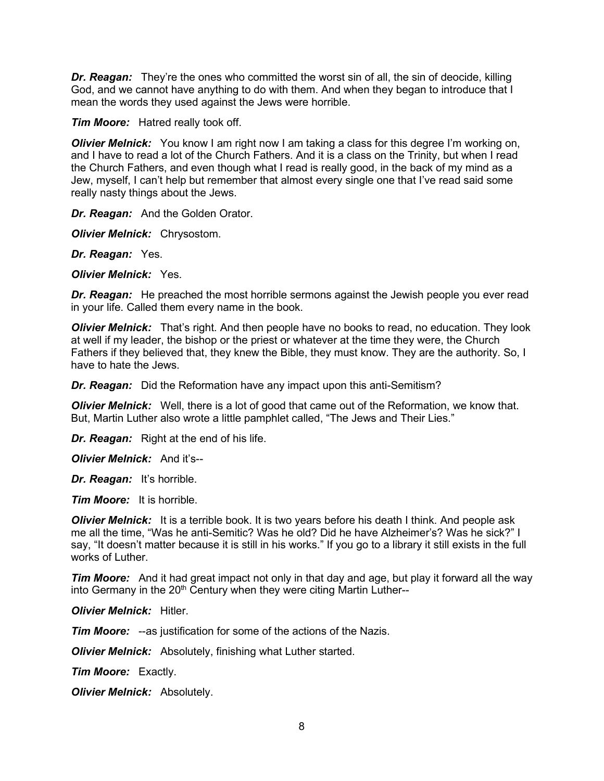*Dr. Reagan:* They're the ones who committed the worst sin of all, the sin of deocide, killing God, and we cannot have anything to do with them. And when they began to introduce that I mean the words they used against the Jews were horrible.

*Tim Moore:* Hatred really took off.

*Olivier Melnick:* You know I am right now I am taking a class for this degree I'm working on, and I have to read a lot of the Church Fathers. And it is a class on the Trinity, but when I read the Church Fathers, and even though what I read is really good, in the back of my mind as a Jew, myself, I can't help but remember that almost every single one that I've read said some really nasty things about the Jews.

*Dr. Reagan:* And the Golden Orator.

*Olivier Melnick:* Chrysostom.

*Dr. Reagan:* Yes.

*Olivier Melnick:* Yes.

*Dr. Reagan:* He preached the most horrible sermons against the Jewish people you ever read in your life. Called them every name in the book.

*Olivier Melnick:* That's right. And then people have no books to read, no education. They look at well if my leader, the bishop or the priest or whatever at the time they were, the Church Fathers if they believed that, they knew the Bible, they must know. They are the authority. So, I have to hate the Jews.

*Dr. Reagan:* Did the Reformation have any impact upon this anti-Semitism?

*Olivier Melnick:* Well, there is a lot of good that came out of the Reformation, we know that. But, Martin Luther also wrote a little pamphlet called, "The Jews and Their Lies."

*Dr. Reagan:* Right at the end of his life.

*Olivier Melnick:* And it's--

*Dr. Reagan:* It's horrible.

*Tim Moore:* It is horrible.

*Olivier Melnick:* It is a terrible book. It is two years before his death I think. And people ask me all the time, "Was he anti-Semitic? Was he old? Did he have Alzheimer's? Was he sick?" I say, "It doesn't matter because it is still in his works." If you go to a library it still exists in the full works of Luther.

**Tim Moore:** And it had great impact not only in that day and age, but play it forward all the way into Germany in the 20<sup>th</sup> Century when they were citing Martin Luther--

*Olivier Melnick:* Hitler.

*Tim Moore:* --as justification for some of the actions of the Nazis.

*Olivier Melnick:* Absolutely, finishing what Luther started.

*Tim Moore:* Exactly.

*Olivier Melnick:* Absolutely.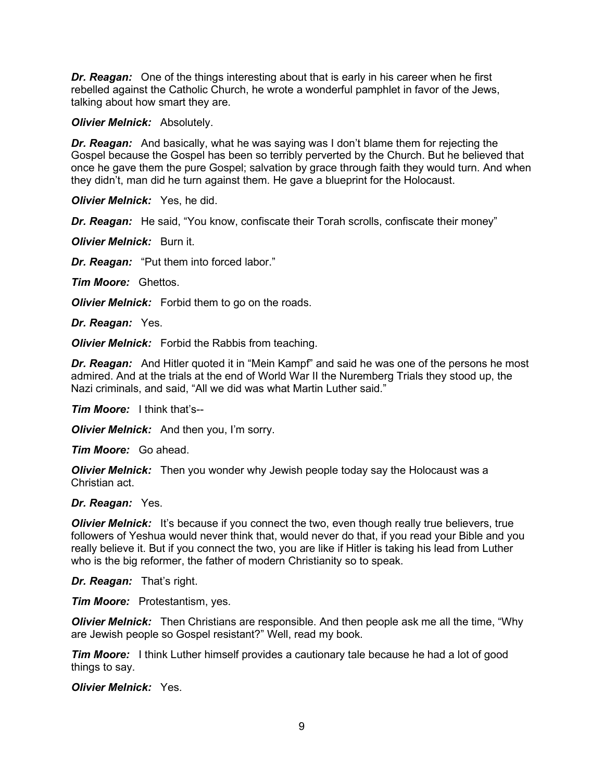*Dr. Reagan:* One of the things interesting about that is early in his career when he first rebelled against the Catholic Church, he wrote a wonderful pamphlet in favor of the Jews, talking about how smart they are.

*Olivier Melnick:* Absolutely.

*Dr. Reagan:* And basically, what he was saying was I don't blame them for rejecting the Gospel because the Gospel has been so terribly perverted by the Church. But he believed that once he gave them the pure Gospel; salvation by grace through faith they would turn. And when they didn't, man did he turn against them. He gave a blueprint for the Holocaust.

*Olivier Melnick:* Yes, he did.

*Dr. Reagan:* He said, "You know, confiscate their Torah scrolls, confiscate their money"

*Olivier Melnick:* Burn it.

*Dr. Reagan:* "Put them into forced labor."

*Tim Moore:* Ghettos.

*Olivier Melnick:* Forbid them to go on the roads.

*Dr. Reagan:* Yes.

*Olivier Melnick:* Forbid the Rabbis from teaching.

*Dr. Reagan:* And Hitler quoted it in "Mein Kampf" and said he was one of the persons he most admired. And at the trials at the end of World War II the Nuremberg Trials they stood up, the Nazi criminals, and said, "All we did was what Martin Luther said."

*Tim Moore:* I think that's--

*Olivier Melnick:* And then you, I'm sorry.

*Tim Moore:* Go ahead.

*Olivier Melnick:* Then you wonder why Jewish people today say the Holocaust was a Christian act.

#### *Dr. Reagan:* Yes.

*Olivier Melnick:* It's because if you connect the two, even though really true believers, true followers of Yeshua would never think that, would never do that, if you read your Bible and you really believe it. But if you connect the two, you are like if Hitler is taking his lead from Luther who is the big reformer, the father of modern Christianity so to speak.

*Dr. Reagan:* That's right.

*Tim Moore:* Protestantism, yes.

*Olivier Melnick:* Then Christians are responsible. And then people ask me all the time, "Why are Jewish people so Gospel resistant?" Well, read my book.

*Tim Moore:* I think Luther himself provides a cautionary tale because he had a lot of good things to say.

*Olivier Melnick:* Yes.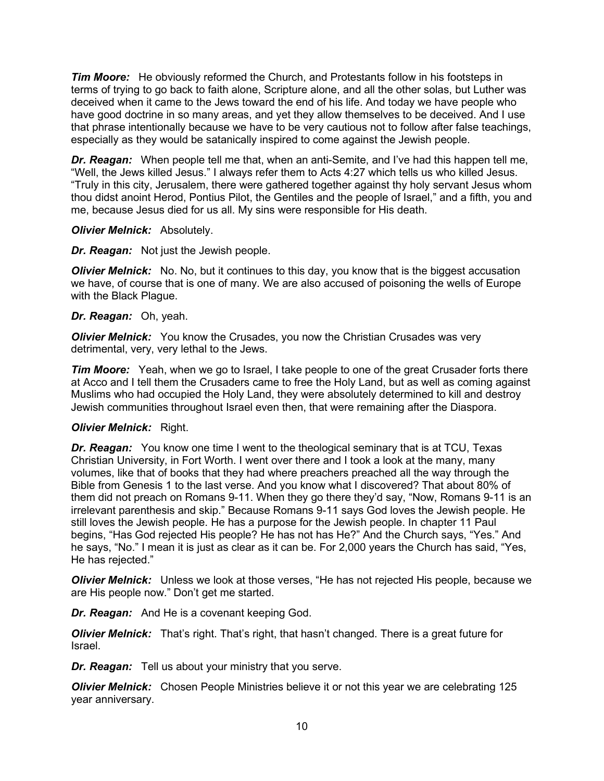*Tim Moore:* He obviously reformed the Church, and Protestants follow in his footsteps in terms of trying to go back to faith alone, Scripture alone, and all the other solas, but Luther was deceived when it came to the Jews toward the end of his life. And today we have people who have good doctrine in so many areas, and yet they allow themselves to be deceived. And I use that phrase intentionally because we have to be very cautious not to follow after false teachings, especially as they would be satanically inspired to come against the Jewish people.

*Dr. Reagan:* When people tell me that, when an anti-Semite, and I've had this happen tell me, "Well, the Jews killed Jesus." I always refer them to Acts 4:27 which tells us who killed Jesus. "Truly in this city, Jerusalem, there were gathered together against thy holy servant Jesus whom thou didst anoint Herod, Pontius Pilot, the Gentiles and the people of Israel," and a fifth, you and me, because Jesus died for us all. My sins were responsible for His death.

## *Olivier Melnick:* Absolutely.

# *Dr. Reagan:* Not just the Jewish people.

*Olivier Melnick:* No. No, but it continues to this day, you know that is the biggest accusation we have, of course that is one of many. We are also accused of poisoning the wells of Europe with the Black Plague.

## *Dr. Reagan:* Oh, yeah.

*Olivier Melnick:* You know the Crusades, you now the Christian Crusades was very detrimental, very, very lethal to the Jews.

**Tim Moore:** Yeah, when we go to Israel, I take people to one of the great Crusader forts there at Acco and I tell them the Crusaders came to free the Holy Land, but as well as coming against Muslims who had occupied the Holy Land, they were absolutely determined to kill and destroy Jewish communities throughout Israel even then, that were remaining after the Diaspora.

# *Olivier Melnick:* Right.

*Dr. Reagan:* You know one time I went to the theological seminary that is at TCU, Texas Christian University, in Fort Worth. I went over there and I took a look at the many, many volumes, like that of books that they had where preachers preached all the way through the Bible from Genesis 1 to the last verse. And you know what I discovered? That about 80% of them did not preach on Romans 9-11. When they go there they'd say, "Now, Romans 9-11 is an irrelevant parenthesis and skip." Because Romans 9-11 says God loves the Jewish people. He still loves the Jewish people. He has a purpose for the Jewish people. In chapter 11 Paul begins, "Has God rejected His people? He has not has He?" And the Church says, "Yes." And he says, "No." I mean it is just as clear as it can be. For 2,000 years the Church has said, "Yes, He has rejected."

*Olivier Melnick:* Unless we look at those verses, "He has not rejected His people, because we are His people now." Don't get me started.

*Dr. Reagan:* And He is a covenant keeping God.

*Olivier Melnick:* That's right. That's right, that hasn't changed. There is a great future for Israel.

*Dr. Reagan:* Tell us about your ministry that you serve.

*Olivier Melnick:* Chosen People Ministries believe it or not this year we are celebrating 125 year anniversary.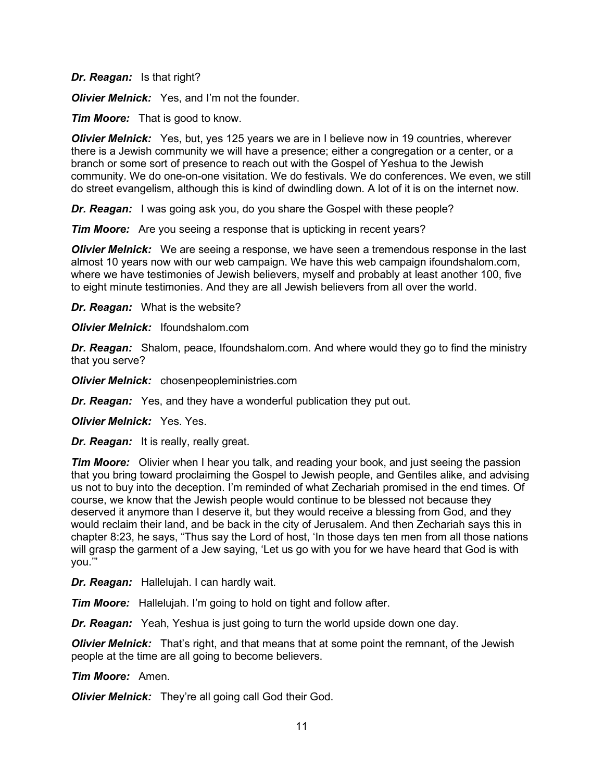*Dr. Reagan:* Is that right?

*Olivier Melnick:* Yes, and I'm not the founder.

*Tim Moore:* That is good to know.

*Olivier Melnick:* Yes, but, yes 125 years we are in I believe now in 19 countries, wherever there is a Jewish community we will have a presence; either a congregation or a center, or a branch or some sort of presence to reach out with the Gospel of Yeshua to the Jewish community. We do one-on-one visitation. We do festivals. We do conferences. We even, we still do street evangelism, although this is kind of dwindling down. A lot of it is on the internet now.

*Dr. Reagan:* I was going ask you, do you share the Gospel with these people?

*Tim Moore:* Are you seeing a response that is upticking in recent years?

*Olivier Melnick:* We are seeing a response, we have seen a tremendous response in the last almost 10 years now with our web campaign. We have this web campaign ifoundshalom.com, where we have testimonies of Jewish believers, myself and probably at least another 100, five to eight minute testimonies. And they are all Jewish believers from all over the world.

*Dr. Reagan:* What is the website?

*Olivier Melnick:* Ifoundshalom.com

*Dr. Reagan:* Shalom, peace, Ifoundshalom.com. And where would they go to find the ministry that you serve?

*Olivier Melnick:* chosenpeopleministries.com

*Dr. Reagan:* Yes, and they have a wonderful publication they put out.

*Olivier Melnick:* Yes. Yes.

*Dr. Reagan:* It is really, really great.

*Tim Moore:* Olivier when I hear you talk, and reading your book, and just seeing the passion that you bring toward proclaiming the Gospel to Jewish people, and Gentiles alike, and advising us not to buy into the deception. I'm reminded of what Zechariah promised in the end times. Of course, we know that the Jewish people would continue to be blessed not because they deserved it anymore than I deserve it, but they would receive a blessing from God, and they would reclaim their land, and be back in the city of Jerusalem. And then Zechariah says this in chapter 8:23, he says, "Thus say the Lord of host, 'In those days ten men from all those nations will grasp the garment of a Jew saying, 'Let us go with you for we have heard that God is with you.'"

*Dr. Reagan:* Hallelujah. I can hardly wait.

*Tim Moore:* Hallelujah. I'm going to hold on tight and follow after.

*Dr. Reagan:* Yeah, Yeshua is just going to turn the world upside down one day.

*Olivier Melnick:* That's right, and that means that at some point the remnant, of the Jewish people at the time are all going to become believers.

*Tim Moore:* Amen.

*Olivier Melnick:* They're all going call God their God.